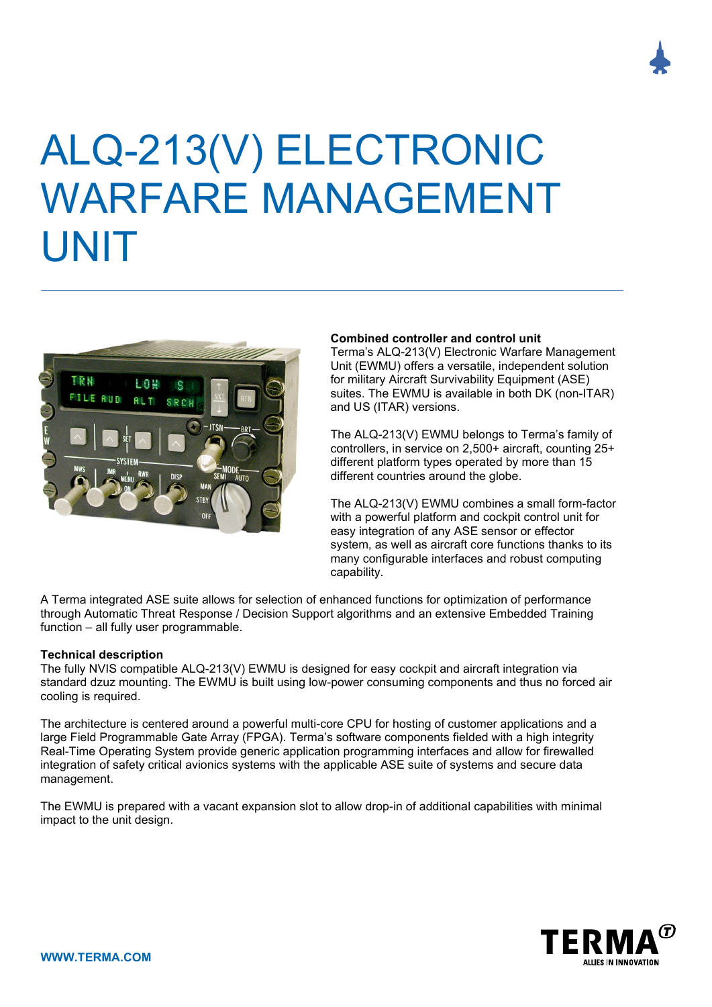

# ALQ-213(V) ELECTRONIC WARFARE MANAGEMENT UNIT



## **Combined controller and control unit**

Terma's ALQ-213(V) Electronic Warfare Management Unit (EWMU) offers a versatile, independent solution for military Aircraft Survivability Equipment (ASE) suites. The EWMU is available in both DK (non-ITAR) and US (ITAR) versions.

The ALQ-213(V) EWMU belongs to Terma's family of controllers, in service on 2,500+ aircraft, counting 25+ different platform types operated by more than 15 different countries around the globe.

The ALQ-213(V) EWMU combines a small form-factor with a powerful platform and cockpit control unit for easy integration of any ASE sensor or effector system, as well as aircraft core functions thanks to its many configurable interfaces and robust computing capability.

A Terma integrated ASE suite allows for selection of enhanced functions for optimization of performance through Automatic Threat Response / Decision Support algorithms and an extensive Embedded Training function – all fully user programmable.

## **Technical description**

The fully NVIS compatible ALQ-213(V) EWMU is designed for easy cockpit and aircraft integration via standard dzuz mounting. The EWMU is built using low-power consuming components and thus no forced air cooling is required.

The architecture is centered around a powerful multi-core CPU for hosting of customer applications and a large Field Programmable Gate Array (FPGA). Terma's software components fielded with a high integrity Real-Time Operating System provide generic application programming interfaces and allow for firewalled integration of safety critical avionics systems with the applicable ASE suite of systems and secure data management.

The EWMU is prepared with a vacant expansion slot to allow drop-in of additional capabilities with minimal impact to the unit design.